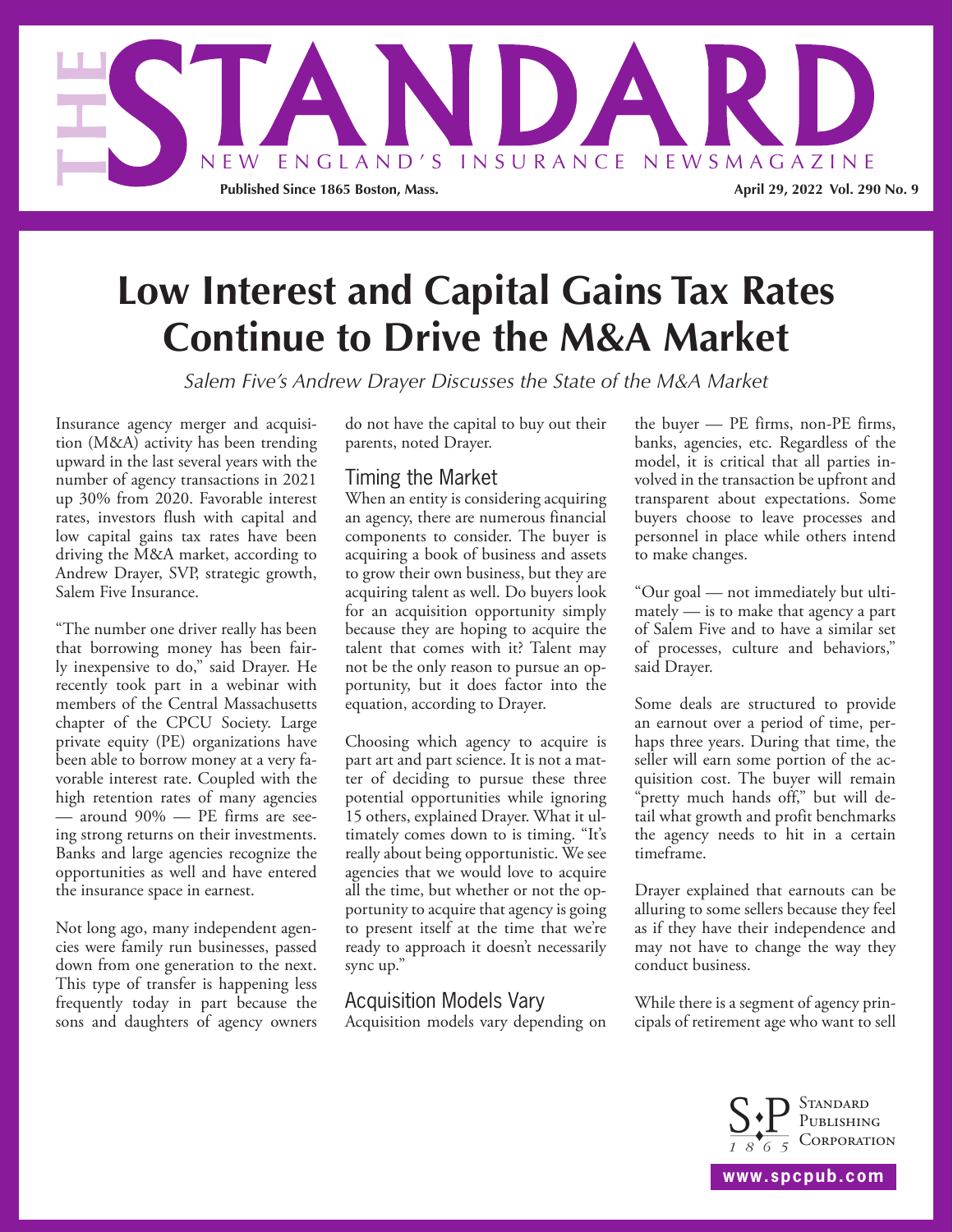

# **Low Interest and Capital Gains Tax Rates Continue to Drive the M&A Market**

*Salem Five's Andrew Drayer Discusses the State of the M&A Market*

Insurance agency merger and acquisition (M&A) activity has been trending upward in the last several years with the number of agency transactions in 2021 up 30% from 2020. Favorable interest rates, investors flush with capital and low capital gains tax rates have been driving the M&A market, according to Andrew Drayer, SVP, strategic growth, Salem Five Insurance.

"The number one driver really has been that borrowing money has been fairly inexpensive to do," said Drayer. He recently took part in a webinar with members of the Central Massachusetts chapter of the CPCU Society. Large private equity (PE) organizations have been able to borrow money at a very favorable interest rate. Coupled with the high retention rates of many agencies — around 90% — PE firms are seeing strong returns on their investments. Banks and large agencies recognize the opportunities as well and have entered the insurance space in earnest.

Not long ago, many independent agencies were family run businesses, passed down from one generation to the next. This type of transfer is happening less frequently today in part because the sons and daughters of agency owners do not have the capital to buy out their parents, noted Drayer.

# Timing the Market

When an entity is considering acquiring an agency, there are numerous financial components to consider. The buyer is acquiring a book of business and assets to grow their own business, but they are acquiring talent as well. Do buyers look for an acquisition opportunity simply because they are hoping to acquire the talent that comes with it? Talent may not be the only reason to pursue an opportunity, but it does factor into the equation, according to Drayer.

Choosing which agency to acquire is part art and part science. It is not a matter of deciding to pursue these three potential opportunities while ignoring 15 others, explained Drayer. What it ultimately comes down to is timing. "It's really about being opportunistic. We see agencies that we would love to acquire all the time, but whether or not the opportunity to acquire that agency is going to present itself at the time that we're ready to approach it doesn't necessarily sync up."

## Acquisition Models Vary

Acquisition models vary depending on

the buyer — PE firms, non-PE firms, banks, agencies, etc. Regardless of the model, it is critical that all parties involved in the transaction be upfront and transparent about expectations. Some buyers choose to leave processes and personnel in place while others intend to make changes.

"Our goal — not immediately but ultimately — is to make that agency a part of Salem Five and to have a similar set of processes, culture and behaviors," said Drayer.

Some deals are structured to provide an earnout over a period of time, perhaps three years. During that time, the seller will earn some portion of the acquisition cost. The buyer will remain "pretty much hands off," but will detail what growth and profit benchmarks the agency needs to hit in a certain timeframe.

Drayer explained that earnouts can be alluring to some sellers because they feel as if they have their independence and may not have to change the way they conduct business.

While there is a segment of agency principals of retirement age who want to sell



**www.spcpub.com**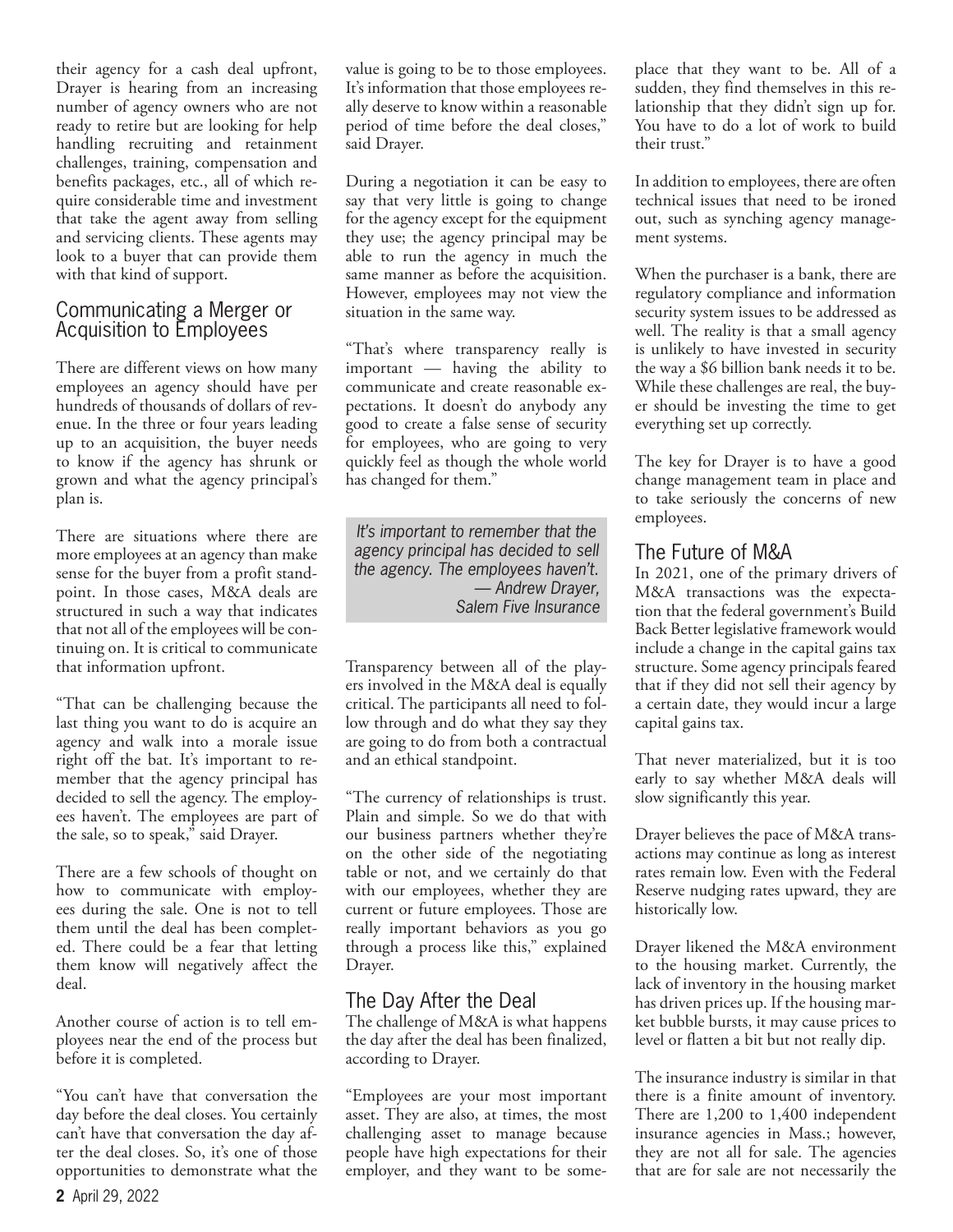their agency for a cash deal upfront, Drayer is hearing from an increasing number of agency owners who are not ready to retire but are looking for help handling recruiting and retainment challenges, training, compensation and benefits packages, etc., all of which require considerable time and investment that take the agent away from selling and servicing clients. These agents may look to a buyer that can provide them with that kind of support.

#### Communicating a Merger or Acquisition to Employees

There are different views on how many employees an agency should have per hundreds of thousands of dollars of revenue. In the three or four years leading up to an acquisition, the buyer needs to know if the agency has shrunk or grown and what the agency principal's plan is.

There are situations where there are more employees at an agency than make sense for the buyer from a profit standpoint. In those cases, M&A deals are structured in such a way that indicates that not all of the employees will be continuing on. It is critical to communicate that information upfront.

"That can be challenging because the last thing you want to do is acquire an agency and walk into a morale issue right off the bat. It's important to remember that the agency principal has decided to sell the agency. The employees haven't. The employees are part of the sale, so to speak," said Drayer.

There are a few schools of thought on how to communicate with employees during the sale. One is not to tell them until the deal has been completed. There could be a fear that letting them know will negatively affect the deal.

Another course of action is to tell employees near the end of the process but before it is completed.

"You can't have that conversation the day before the deal closes. You certainly can't have that conversation the day after the deal closes. So, it's one of those opportunities to demonstrate what the

value is going to be to those employees. It's information that those employees really deserve to know within a reasonable period of time before the deal closes," said Drayer.

During a negotiation it can be easy to say that very little is going to change for the agency except for the equipment they use; the agency principal may be able to run the agency in much the same manner as before the acquisition. However, employees may not view the situation in the same way.

"That's where transparency really is important — having the ability to communicate and create reasonable expectations. It doesn't do anybody any good to create a false sense of security for employees, who are going to very quickly feel as though the whole world has changed for them."

*It's important to remember that the agency principal has decided to sell the agency. The employees haven't. — Andrew Drayer, Salem Five Insurance*

Transparency between all of the players involved in the M&A deal is equally critical. The participants all need to follow through and do what they say they are going to do from both a contractual and an ethical standpoint.

"The currency of relationships is trust. Plain and simple. So we do that with our business partners whether they're on the other side of the negotiating table or not, and we certainly do that with our employees, whether they are current or future employees. Those are really important behaviors as you go through a process like this," explained Drayer.

## The Day After the Deal

The challenge of M&A is what happens the day after the deal has been finalized, according to Drayer.

"Employees are your most important asset. They are also, at times, the most challenging asset to manage because people have high expectations for their employer, and they want to be someplace that they want to be. All of a sudden, they find themselves in this relationship that they didn't sign up for. You have to do a lot of work to build their trust."

In addition to employees, there are often technical issues that need to be ironed out, such as synching agency management systems.

When the purchaser is a bank, there are regulatory compliance and information security system issues to be addressed as well. The reality is that a small agency is unlikely to have invested in security the way a \$6 billion bank needs it to be. While these challenges are real, the buyer should be investing the time to get everything set up correctly.

The key for Drayer is to have a good change management team in place and to take seriously the concerns of new employees.

## The Future of M&A

In 2021, one of the primary drivers of M&A transactions was the expectation that the federal government's Build Back Better legislative framework would include a change in the capital gains tax structure. Some agency principals feared that if they did not sell their agency by a certain date, they would incur a large capital gains tax.

That never materialized, but it is too early to say whether M&A deals will slow significantly this year.

Drayer believes the pace of M&A transactions may continue as long as interest rates remain low. Even with the Federal Reserve nudging rates upward, they are historically low.

Drayer likened the M&A environment to the housing market. Currently, the lack of inventory in the housing market has driven prices up. If the housing market bubble bursts, it may cause prices to level or flatten a bit but not really dip.

The insurance industry is similar in that there is a finite amount of inventory. There are 1,200 to 1,400 independent insurance agencies in Mass.; however, they are not all for sale. The agencies that are for sale are not necessarily the